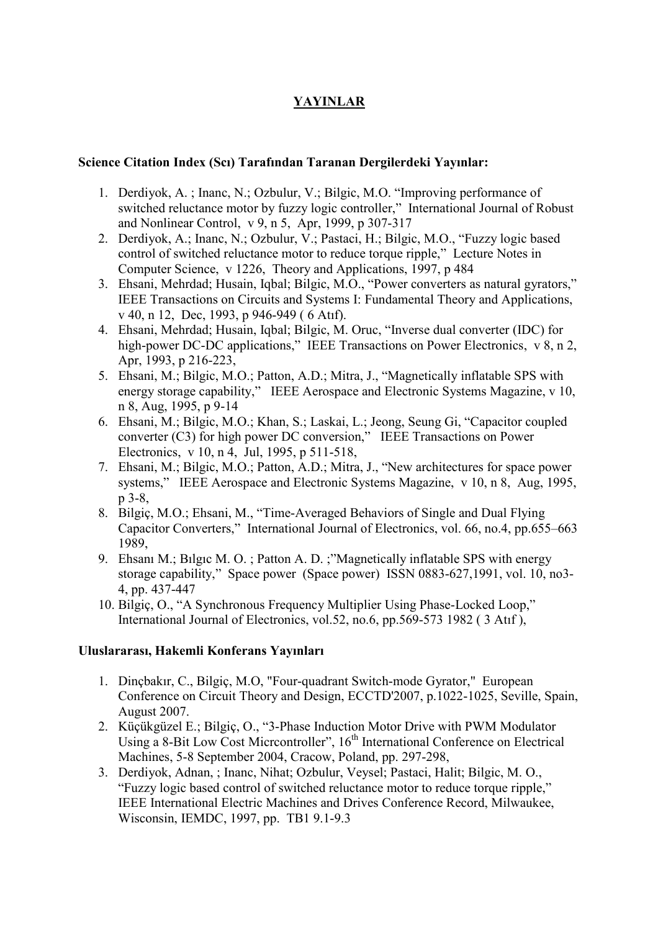# YAYINLAR

#### Science Citation Index (Scı) Tarafından Taranan Dergilerdeki Yayınlar:

- 1. Derdiyok, A. ; Inanc, N.; Ozbulur, V.; Bilgic, M.O. "Improving performance of switched reluctance motor by fuzzy logic controller," International Journal of Robust and Nonlinear Control, v 9, n 5, Apr, 1999, p 307-317
- 2. Derdiyok, A.; Inanc, N.; Ozbulur, V.; Pastaci, H.; Bilgic, M.O., "Fuzzy logic based control of switched reluctance motor to reduce torque ripple," Lecture Notes in Computer Science, v 1226, Theory and Applications, 1997, p 484
- 3. Ehsani, Mehrdad; Husain, Iqbal; Bilgic, M.O., "Power converters as natural gyrators," IEEE Transactions on Circuits and Systems I: Fundamental Theory and Applications, v 40, n 12, Dec, 1993, p 946-949 ( 6 Atıf).
- 4. Ehsani, Mehrdad; Husain, Iqbal; Bilgic, M. Oruc, "Inverse dual converter (IDC) for high-power DC-DC applications," IEEE Transactions on Power Electronics, v 8, n 2, Apr, 1993, p 216-223,
- 5. Ehsani, M.; Bilgic, M.O.; Patton, A.D.; Mitra, J., "Magnetically inflatable SPS with energy storage capability," IEEE Aerospace and Electronic Systems Magazine, v 10, n 8, Aug, 1995, p 9-14
- 6. Ehsani, M.; Bilgic, M.O.; Khan, S.; Laskai, L.; Jeong, Seung Gi, "Capacitor coupled converter (C3) for high power DC conversion," IEEE Transactions on Power Electronics, v 10, n 4, Jul, 1995, p 511-518,
- 7. Ehsani, M.; Bilgic, M.O.; Patton, A.D.; Mitra, J., "New architectures for space power systems," IEEE Aerospace and Electronic Systems Magazine, v 10, n 8, Aug, 1995, p 3-8,
- 8. Bilgiç, M.O.; Ehsani, M., "Time-Averaged Behaviors of Single and Dual Flying Capacitor Converters," International Journal of Electronics, vol. 66, no.4, pp.655–663 1989,
- 9. Ehsanı M.; Bılgıc M. O. ; Patton A. D. ;"Magnetically inflatable SPS with energy storage capability," Space power (Space power) ISSN 0883-627,1991, vol. 10, no3- 4, pp. 437-447
- 10. Bilgiç, O., "A Synchronous Frequency Multiplier Using Phase-Locked Loop," International Journal of Electronics, vol.52, no.6, pp.569-573 1982 ( 3 Atıf ),

### Uluslararası, Hakemli Konferans Yayınları

- 1. Dinçbakır, C., Bilgiç, M.O, "Four-quadrant Switch-mode Gyrator," European Conference on Circuit Theory and Design, ECCTD'2007, p.1022-1025, Seville, Spain, August 2007.
- 2. Küçükgüzel E.; Bilgiç, O., "3-Phase Induction Motor Drive with PWM Modulator Using a 8-Bit Low Cost Micrcontroller",  $16<sup>th</sup>$  International Conference on Electrical Machines, 5-8 September 2004, Cracow, Poland, pp. 297-298,
- 3. Derdiyok, Adnan, ; Inanc, Nihat; Ozbulur, Veysel; Pastaci, Halit; Bilgic, M. O., "Fuzzy logic based control of switched reluctance motor to reduce torque ripple," IEEE International Electric Machines and Drives Conference Record, Milwaukee, Wisconsin, IEMDC, 1997, pp. TB1 9.1-9.3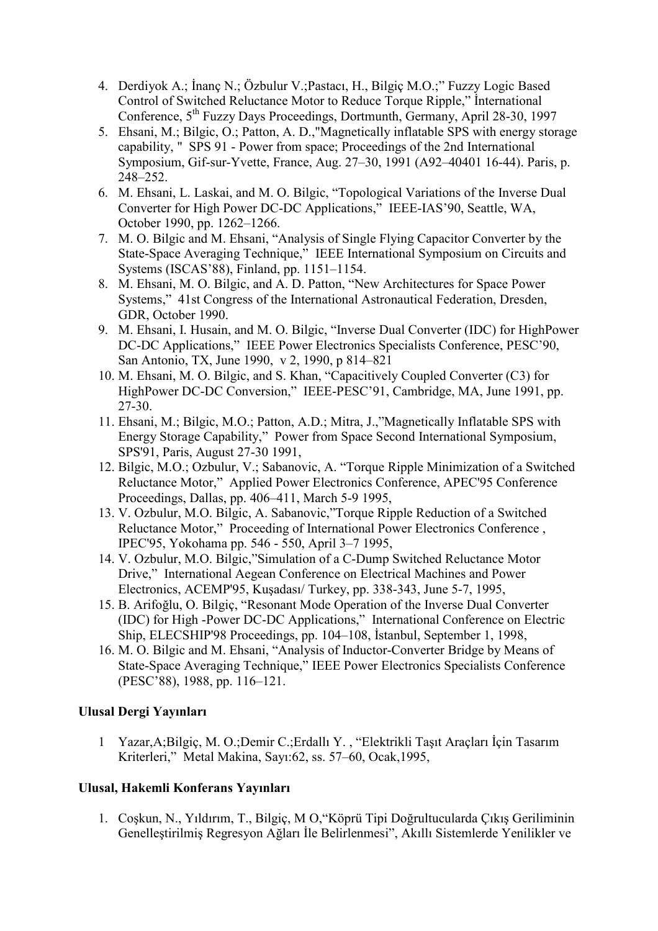- 4. Derdiyok A.; İnanç N.; Özbulur V.; Pastacı, H., Bilgiç M.O.;" Fuzzy Logic Based Control of Switched Reluctance Motor to Reduce Torque Ripple," International Conference, 5th Fuzzy Days Proceedings, Dortmunth, Germany, April 28-30, 1997
- 5. Ehsani, M.; Bilgic, O.; Patton, A. D.,"Magnetically inflatable SPS with energy storage capability, " SPS 91 - Power from space; Proceedings of the 2nd International Symposium, Gif-sur-Yvette, France, Aug. 27–30, 1991 (A92–40401 16-44). Paris, p. 248–252.
- 6. M. Ehsani, L. Laskai, and M. O. Bilgic, "Topological Variations of the Inverse Dual Converter for High Power DC-DC Applications," IEEE-IAS'90, Seattle, WA, October 1990, pp. 1262–1266.
- 7. M. O. Bilgic and M. Ehsani, "Analysis of Single Flying Capacitor Converter by the State-Space Averaging Technique," IEEE International Symposium on Circuits and Systems (ISCAS'88), Finland, pp. 1151–1154.
- 8. M. Ehsani, M. O. Bilgic, and A. D. Patton, "New Architectures for Space Power Systems," 41st Congress of the International Astronautical Federation, Dresden, GDR, October 1990.
- 9. M. Ehsani, I. Husain, and M. O. Bilgic, "Inverse Dual Converter (IDC) for HighPower DC-DC Applications," IEEE Power Electronics Specialists Conference, PESC'90, San Antonio, TX, June 1990, v 2, 1990, p 814–821
- 10. M. Ehsani, M. O. Bilgic, and S. Khan, "Capacitively Coupled Converter (C3) for HighPower DC-DC Conversion," IEEE-PESC'91, Cambridge, MA, June 1991, pp. 27-30.
- 11. Ehsani, M.; Bilgic, M.O.; Patton, A.D.; Mitra, J.,"Magnetically Inflatable SPS with Energy Storage Capability," Power from Space Second International Symposium, SPS'91, Paris, August 27-30 1991,
- 12. Bilgic, M.O.; Ozbulur, V.; Sabanovic, A. "Torque Ripple Minimization of a Switched Reluctance Motor," Applied Power Electronics Conference, APEC'95 Conference Proceedings, Dallas, pp. 406–411, March 5-9 1995,
- 13. V. Ozbulur, M.O. Bilgic, A. Sabanovic,"Torque Ripple Reduction of a Switched Reluctance Motor," Proceeding of International Power Electronics Conference , IPEC'95, Yokohama pp. 546 - 550, April 3–7 1995,
- 14. V. Ozbulur, M.O. Bilgic,"Simulation of a C-Dump Switched Reluctance Motor Drive," International Aegean Conference on Electrical Machines and Power Electronics, ACEMP'95, Kuşadası/ Turkey, pp. 338-343, June 5-7, 1995,
- 15. B. Arifoğlu, O. Bilgiç, "Resonant Mode Operation of the Inverse Dual Converter (IDC) for High -Power DC-DC Applications," International Conference on Electric Ship, ELECSHIP'98 Proceedings, pp. 104–108, İstanbul, September 1, 1998,
- 16. M. O. Bilgic and M. Ehsani, "Analysis of Inductor-Converter Bridge by Means of State-Space Averaging Technique," IEEE Power Electronics Specialists Conference (PESC'88), 1988, pp. 116–121.

### Ulusal Dergi Yayınları

1 Yazar, A; Bilgiç, M. O.; Demir C.; Erdallı Y., "Elektrikli Taşıt Araçları İçin Tasarım Kriterleri," Metal Makina, Sayı:62, ss. 57–60, Ocak,1995,

## Ulusal, Hakemli Konferans Yayınları

1. Coşkun, N., Yıldırım, T., Bilgiç, M O,"Köprü Tipi Doğrultucularda Çıkış Geriliminin Genelleştirilmiş Regresyon Ağları İle Belirlenmesi", Akıllı Sistemlerde Yenilikler ve